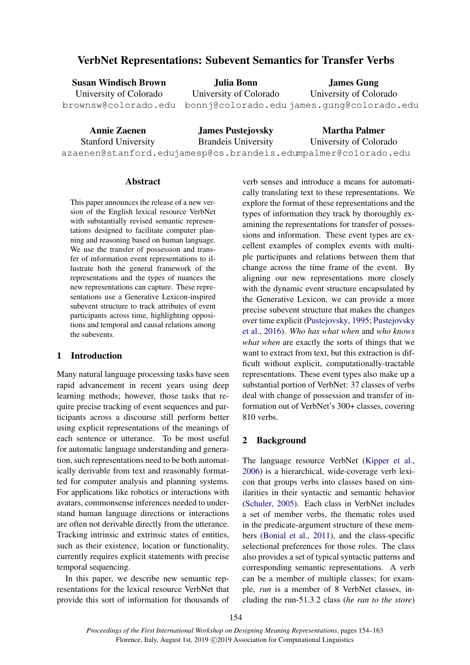# VerbNet Representations: Subevent Semantics for Transfer Verbs

| <b>Susan Windisch Brown</b> | Julia Bonn             | <b>James Gung</b>                                              |
|-----------------------------|------------------------|----------------------------------------------------------------|
| University of Colorado      | University of Colorado | University of Colorado                                         |
|                             |                        | brownsw@colorado.edu bonnj@colorado.edujames.qunq@colorado.edu |

| <b>Annie Zaenen</b>        | <b>James Pustejovsky</b>    | <b>Martha Palmer</b>                                           |
|----------------------------|-----------------------------|----------------------------------------------------------------|
| <b>Stanford University</b> | <b>Brandelly</b> University | University of Colorado                                         |
|                            |                             | azaenen@stanford.edujamesp@cs.brandeis.edumpalmer@colorado.edu |

# **Abstract**

This paper announces the release of a new version of the English lexical resource VerbNet with substantially revised semantic representations designed to facilitate computer planning and reasoning based on human language. We use the transfer of possession and transfer of information event representations to illustrate both the general framework of the representations and the types of nuances the new representations can capture. These representations use a Generative Lexicon-inspired subevent structure to track attributes of event participants across time, highlighting oppositions and temporal and causal relations among the subevents.

# 1 Introduction

Many natural language processing tasks have seen rapid advancement in recent years using deep learning methods; however, those tasks that require precise tracking of event sequences and participants across a discourse still perform better using explicit representations of the meanings of each sentence or utterance. To be most useful for automatic language understanding and generation, such representations need to be both automatically derivable from text and reasonably formatted for computer analysis and planning systems. For applications like robotics or interactions with avatars, commonsense inferences needed to understand human language directions or interactions are often not derivable directly from the utterance. Tracking intrinsic and extrinsic states of entities, such as their existence, location or functionality, currently requires explicit statements with precise temporal sequencing.

In this paper, we describe new semantic representations for the lexical resource VerbNet that provide this sort of information for thousands of

verb senses and introduce a means for automatically translating text to these representations. We explore the format of these representations and the types of information they track by thoroughly examining the representations for transfer of possessions and information. These event types are excellent examples of complex events with multiple participants and relations between them that change across the time frame of the event. By aligning our new representations more closely with the dynamic event structure encapsulated by the Generative Lexicon, we can provide a more precise subevent structure that makes the changes over time explicit [\(Pustejovsky,](#page-9-0) [1995;](#page-9-0) [Pustejovsky](#page-9-1) [et al.,](#page-9-1) [2016\)](#page-9-1). *Who has what when* and *who knows what when* are exactly the sorts of things that we want to extract from text, but this extraction is difficult without explicit, computationally-tractable representations. These event types also make up a substantial portion of VerbNet: 37 classes of verbs deal with change of possession and transfer of information out of VerbNet's 300+ classes, covering 810 verbs.

# 2 Background

The language resource VerbNet [\(Kipper et al.,](#page-8-0) [2006\)](#page-8-0) is a hierarchical, wide-coverage verb lexicon that groups verbs into classes based on similarities in their syntactic and semantic behavior [\(Schuler,](#page-9-2) [2005\)](#page-9-2). Each class in VerbNet includes a set of member verbs, the thematic roles used in the predicate-argument structure of these members [\(Bonial et al.,](#page-8-1) [2011\)](#page-8-1), and the class-specific selectional preferences for those roles. The class also provides a set of typical syntactic patterns and corresponding semantic representations. A verb can be a member of multiple classes; for example, *run* is a member of 8 VerbNet classes, including the run-51.3.2 class (*he ran to the store*)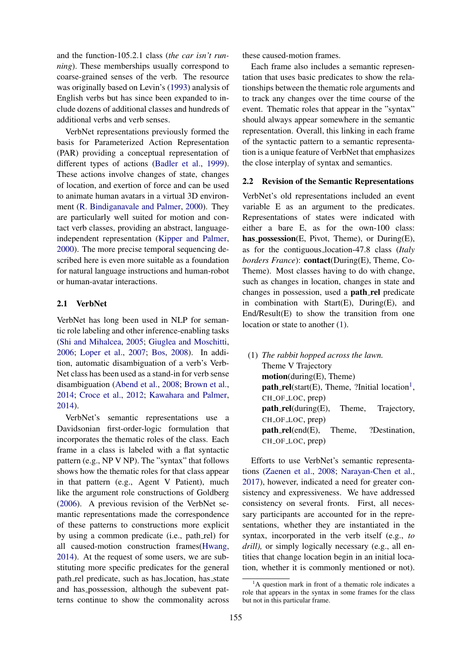and the function-105.2.1 class (*the car isn't running*). These memberships usually correspond to coarse-grained senses of the verb. The resource was originally based on Levin's [\(1993\)](#page-8-2) analysis of English verbs but has since been expanded to include dozens of additional classes and hundreds of additional verbs and verb senses.

VerbNet representations previously formed the basis for Parameterized Action Representation (PAR) providing a conceptual representation of different types of actions [\(Badler et al.,](#page-8-3) [1999\)](#page-8-3). These actions involve changes of state, changes of location, and exertion of force and can be used to animate human avatars in a virtual 3D environment [\(R. Bindiganavale and Palmer,](#page-9-3) [2000\)](#page-9-3). They are particularly well suited for motion and contact verb classes, providing an abstract, languageindependent representation [\(Kipper and Palmer,](#page-8-4) [2000\)](#page-8-4). The more precise temporal sequencing described here is even more suitable as a foundation for natural language instructions and human-robot or human-avatar interactions.

## 2.1 VerbNet

VerbNet has long been used in NLP for semantic role labeling and other inference-enabling tasks [\(Shi and Mihalcea,](#page-9-4) [2005;](#page-9-4) [Giuglea and Moschitti,](#page-8-5) [2006;](#page-8-5) [Loper et al.,](#page-8-6) [2007;](#page-8-6) [Bos,](#page-8-7) [2008\)](#page-8-7). In addition, automatic disambiguation of a verb's Verb-Net class has been used as a stand-in for verb sense disambiguation [\(Abend et al.,](#page-7-0) [2008;](#page-7-0) [Brown et al.,](#page-8-8) [2014;](#page-8-8) [Croce et al.,](#page-8-9) [2012;](#page-8-9) [Kawahara and Palmer,](#page-8-10) [2014\)](#page-8-10).

VerbNet's semantic representations use a Davidsonian first-order-logic formulation that incorporates the thematic roles of the class. Each frame in a class is labeled with a flat syntactic pattern (e.g., NP V NP). The "syntax" that follows shows how the thematic roles for that class appear in that pattern (e.g., Agent V Patient), much like the argument role constructions of Goldberg [\(2006\)](#page-8-11). A previous revision of the VerbNet semantic representations made the correspondence of these patterns to constructions more explicit by using a common predicate (i.e., path rel) for all caused-motion construction frames[\(Hwang,](#page-8-12) [2014\)](#page-8-12). At the request of some users, we are substituting more specific predicates for the general path\_rel predicate, such as has\_location, has\_state and has possession, although the subevent patterns continue to show the commonality across

these caused-motion frames.

Each frame also includes a semantic representation that uses basic predicates to show the relationships between the thematic role arguments and to track any changes over the time course of the event. Thematic roles that appear in the "syntax" should always appear somewhere in the semantic representation. Overall, this linking in each frame of the syntactic pattern to a semantic representation is a unique feature of VerbNet that emphasizes the close interplay of syntax and semantics.

#### 2.2 Revision of the Semantic Representations

VerbNet's old representations included an event variable E as an argument to the predicates. Representations of states were indicated with either a bare E, as for the own-100 class: has possession(E, Pivot, Theme), or  $During(E)$ , as for the contiguous location-47.8 class (*Italy borders France*): contact(During(E), Theme, Co-Theme). Most classes having to do with change, such as changes in location, changes in state and changes in possession, used a **path rel** predicate in combination with  $Start(E)$ ,  $During(E)$ , and End/Result(E) to show the transition from one location or state to another  $(1)$ .

<span id="page-1-0"></span>(1) *The rabbit hopped across the lawn.* Theme V Trajectory motion(during(E), Theme)  $path_{rel}$ (start(E), Theme, ?Initial location<sup>[1](#page-1-1)</sup>, CH\_OF\_LOC, prep) path rel(during(E), Theme, Trajectory, CH<sub>-OF-LOC</sub>, prep) path rel(end(E), Theme, ?Destination, CH\_OF\_LOC, prep)

Efforts to use VerbNet's semantic representations [\(Zaenen et al.,](#page-9-5) [2008;](#page-9-5) [Narayan-Chen et al.,](#page-8-13) [2017\)](#page-8-13), however, indicated a need for greater consistency and expressiveness. We have addressed consistency on several fronts. First, all necessary participants are accounted for in the representations, whether they are instantiated in the syntax, incorporated in the verb itself (e.g., *to drill*), or simply logically necessary (e.g., all entities that change location begin in an initial location, whether it is commonly mentioned or not).

<span id="page-1-1"></span> ${}^{1}$ A question mark in front of a thematic role indicates a role that appears in the syntax in some frames for the class but not in this particular frame.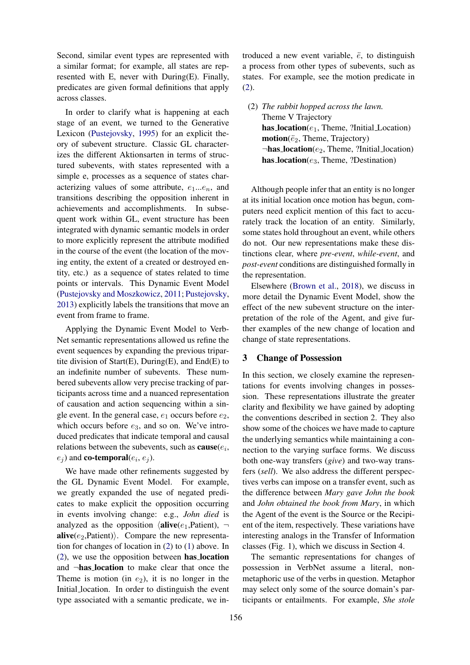Second, similar event types are represented with a similar format; for example, all states are represented with E, never with During(E). Finally, predicates are given formal definitions that apply across classes.

In order to clarify what is happening at each stage of an event, we turned to the Generative Lexicon [\(Pustejovsky,](#page-9-0) [1995\)](#page-9-0) for an explicit theory of subevent structure. Classic GL characterizes the different Aktionsarten in terms of structured subevents, with states represented with a simple e, processes as a sequence of states characterizing values of some attribute,  $e_1...e_n$ , and transitions describing the opposition inherent in achievements and accomplishments. In subsequent work within GL, event structure has been integrated with dynamic semantic models in order to more explicitly represent the attribute modified in the course of the event (the location of the moving entity, the extent of a created or destroyed entity, etc.) as a sequence of states related to time points or intervals. This Dynamic Event Model [\(Pustejovsky and Moszkowicz,](#page-9-6) [2011;](#page-9-6) [Pustejovsky,](#page-9-7) [2013\)](#page-9-7) explicitly labels the transitions that move an event from frame to frame.

Applying the Dynamic Event Model to Verb-Net semantic representations allowed us refine the event sequences by expanding the previous tripartite division of Start $(E)$ , During $(E)$ , and End $(E)$  to an indefinite number of subevents. These numbered subevents allow very precise tracking of participants across time and a nuanced representation of causation and action sequencing within a single event. In the general case,  $e_1$  occurs before  $e_2$ , which occurs before  $e_3$ , and so on. We've introduced predicates that indicate temporal and causal relations between the subevents, such as  $\textbf{cause}(e_i, \dots)$  $(e_j)$  and **co-temporal** $(e_i, e_j)$ .

We have made other refinements suggested by the GL Dynamic Event Model. For example, we greatly expanded the use of negated predicates to make explicit the opposition occurring in events involving change: e.g., *John died* is analyzed as the opposition  $\langle \textbf{alive}(e_1,\textbf{Pattern}), \neg \rangle$ **alive**( $e_2$ ,Patient)). Compare the new representation for changes of location in [\(2\)](#page-2-0) to [\(1\)](#page-1-0) above. In [\(2\)](#page-2-0), we use the opposition between has location and ¬has location to make clear that once the Theme is motion (in  $e_2$ ), it is no longer in the Initial location. In order to distinguish the event type associated with a semantic predicate, we introduced a new event variable,  $\ddot{e}$ , to distinguish a process from other types of subevents, such as states. For example, see the motion predicate in [\(2\)](#page-2-0).

<span id="page-2-0"></span>(2) *The rabbit hopped across the lawn.* Theme V Trajectory has  $location(e_1, Theme, ?Initial\_Location)$  $motion(\ddot{e}_2,$  Theme, Trajectory)  $\neg$ **has location**( $e_2$ , Theme, ?Initial location) has  $location(e_3, Theme, ?Destination)$ 

Although people infer that an entity is no longer at its initial location once motion has begun, computers need explicit mention of this fact to accurately track the location of an entity. Similarly, some states hold throughout an event, while others do not. Our new representations make these distinctions clear, where *pre-event*, *while-event*, and *post-event* conditions are distinguished formally in the representation.

Elsewhere [\(Brown et al.,](#page-8-14) [2018\)](#page-8-14), we discuss in more detail the Dynamic Event Model, show the effect of the new subevent structure on the interpretation of the role of the Agent, and give further examples of the new change of location and change of state representations.

# 3 Change of Possession

In this section, we closely examine the representations for events involving changes in possession. These representations illustrate the greater clarity and flexibility we have gained by adopting the conventions described in section 2. They also show some of the choices we have made to capture the underlying semantics while maintaining a connection to the varying surface forms. We discuss both one-way transfers (*give*) and two-way transfers (*sell*). We also address the different perspectives verbs can impose on a transfer event, such as the difference between *Mary gave John the book* and *John obtained the book from Mary*, in which the Agent of the event is the Source or the Recipient of the item, respectively. These variations have interesting analogs in the Transfer of Information classes (Fig. 1), which we discuss in Section 4.

The semantic representations for changes of possession in VerbNet assume a literal, nonmetaphoric use of the verbs in question. Metaphor may select only some of the source domain's participants or entailments. For example, *She stole*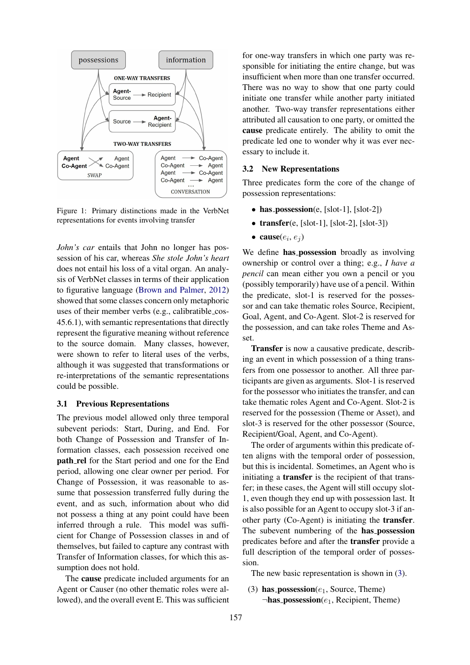

Figure 1: Primary distinctions made in the VerbNet representations for events involving transfer

*John's car* entails that John no longer has possession of his car, whereas *She stole John's heart* does not entail his loss of a vital organ. An analysis of VerbNet classes in terms of their application to figurative language [\(Brown and Palmer,](#page-8-15) [2012\)](#page-8-15) showed that some classes concern only metaphoric uses of their member verbs (e.g., calibratible cos-45.6.1), with semantic representations that directly represent the figurative meaning without reference to the source domain. Many classes, however, were shown to refer to literal uses of the verbs, although it was suggested that transformations or re-interpretations of the semantic representations could be possible.

# 3.1 Previous Representations

The previous model allowed only three temporal subevent periods: Start, During, and End. For both Change of Possession and Transfer of Information classes, each possession received one path rel for the Start period and one for the End period, allowing one clear owner per period. For Change of Possession, it was reasonable to assume that possession transferred fully during the event, and as such, information about who did not possess a thing at any point could have been inferred through a rule. This model was sufficient for Change of Possession classes in and of themselves, but failed to capture any contrast with Transfer of Information classes, for which this assumption does not hold.

The cause predicate included arguments for an Agent or Causer (no other thematic roles were allowed), and the overall event E. This was sufficient

for one-way transfers in which one party was responsible for initiating the entire change, but was insufficient when more than one transfer occurred. There was no way to show that one party could initiate one transfer while another party initiated another. Two-way transfer representations either attributed all causation to one party, or omitted the cause predicate entirely. The ability to omit the predicate led one to wonder why it was ever necessary to include it.

## 3.2 New Representations

Three predicates form the core of the change of possession representations:

- has  $possession(e, [slot-1], [slot-2])$
- transfer(e,  $[slot-1]$ ,  $[slot-2]$ ,  $[slot-3]$ )
- cause $(e_i, e_j)$

We define **has possession** broadly as involving ownership or control over a thing; e.g., *I have a pencil* can mean either you own a pencil or you (possibly temporarily) have use of a pencil. Within the predicate, slot-1 is reserved for the possessor and can take thematic roles Source, Recipient, Goal, Agent, and Co-Agent. Slot-2 is reserved for the possession, and can take roles Theme and Asset.

Transfer is now a causative predicate, describing an event in which possession of a thing transfers from one possessor to another. All three participants are given as arguments. Slot-1 is reserved for the possessor who initiates the transfer, and can take thematic roles Agent and Co-Agent. Slot-2 is reserved for the possession (Theme or Asset), and slot-3 is reserved for the other possessor (Source, Recipient/Goal, Agent, and Co-Agent).

The order of arguments within this predicate often aligns with the temporal order of possession, but this is incidental. Sometimes, an Agent who is initiating a **transfer** is the recipient of that transfer; in these cases, the Agent will still occupy slot-1, even though they end up with possession last. It is also possible for an Agent to occupy slot-3 if another party (Co-Agent) is initiating the transfer. The subevent numbering of the has possession predicates before and after the transfer provide a full description of the temporal order of possession.

The new basic representation is shown in [\(3\)](#page-3-0).

<span id="page-3-0"></span>(3) has possession $(e_1, \text{Source}, \text{Then})$  $\neg$ **has\_possession**( $e_1$ , Recipient, Theme)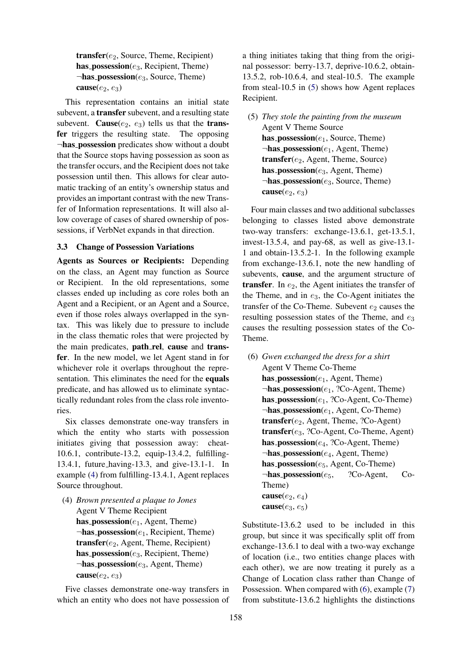transfer(e<sub>2</sub>, Source, Theme, Recipient) has possession $(e_3, Recipient, Theme)$  $\neg$ **has\_possession**( $e_3$ , Source, Theme) cause $(e_2, e_3)$ 

This representation contains an initial state subevent, a transfer subevent, and a resulting state subevent. Cause( $e_2$ ,  $e_3$ ) tells us that the **trans**fer triggers the resulting state. The opposing ¬has possession predicates show without a doubt that the Source stops having possession as soon as the transfer occurs, and the Recipient does not take possession until then. This allows for clear automatic tracking of an entity's ownership status and provides an important contrast with the new Transfer of Information representations. It will also allow coverage of cases of shared ownership of possessions, if VerbNet expands in that direction.

# 3.3 Change of Possession Variations

Agents as Sources or Recipients: Depending on the class, an Agent may function as Source or Recipient. In the old representations, some classes ended up including as core roles both an Agent and a Recipient, or an Agent and a Source, even if those roles always overlapped in the syntax. This was likely due to pressure to include in the class thematic roles that were projected by the main predicates, path\_rel, cause and transfer. In the new model, we let Agent stand in for whichever role it overlaps throughout the representation. This eliminates the need for the equals predicate, and has allowed us to eliminate syntactically redundant roles from the class role inventories.

Six classes demonstrate one-way transfers in which the entity who starts with possession initiates giving that possession away: cheat-10.6.1, contribute-13.2, equip-13.4.2, fulfilling-13.4.1, future having-13.3, and give-13.1-1. In example [\(4\)](#page-4-0) from fulfilling-13.4.1, Agent replaces Source throughout.

<span id="page-4-0"></span>(4) *Brown presented a plaque to Jones* Agent V Theme Recipient has possession $(e_1, \text{Agent}, \text{Then})$  $\neg$ **has possession**( $e_1$ , Recipient, Theme) transfer $(e_2, A$ gent, Theme, Recipient) has possession( $e_3$ , Recipient, Theme)  $\neg$ **has\_possession**(e<sub>3</sub>, Agent, Theme) cause( $e_2, e_3$ )

Five classes demonstrate one-way transfers in which an entity who does not have possession of a thing initiates taking that thing from the original possessor: berry-13.7, deprive-10.6.2, obtain-13.5.2, rob-10.6.4, and steal-10.5. The example from steal-10.5 in [\(5\)](#page-4-1) shows how Agent replaces Recipient.

<span id="page-4-1"></span>(5) *They stole the painting from the museum* Agent V Theme Source has possession $(e_1,$  Source, Theme)  $\neg$ **has\_possession**( $e_1$ , Agent, Theme)  $transfer(e_2, Agent, Theme, Source)$ has possession $(e_3, A$ gent, Theme)  $\neg$ **has\_possession**( $e_3$ , Source, Theme) cause( $e_2, e_3$ )

Four main classes and two additional subclasses belonging to classes listed above demonstrate two-way transfers: exchange-13.6.1, get-13.5.1, invest-13.5.4, and pay-68, as well as give-13.1- 1 and obtain-13.5.2-1. In the following example from exchange-13.6.1, note the new handling of subevents, cause, and the argument structure of transfer. In  $e_2$ , the Agent initiates the transfer of the Theme, and in  $e_3$ , the Co-Agent initiates the transfer of the Co-Theme. Subevent  $e_2$  causes the resulting possession states of the Theme, and  $e_3$ causes the resulting possession states of the Co-Theme.

<span id="page-4-2"></span>(6) *Gwen exchanged the dress for a shirt* Agent V Theme Co-Theme has possession $(e_1, \text{Agent}, \text{Then})$  $\neg$ **has\_possession**( $e_1$ , ?Co-Agent, Theme) has possession $(e_1, ?Co$ -Agent, Co-Theme)  $\neg$ **has\_possession**( $e_1$ , Agent, Co-Theme) transfer $(e_2, \text{Agent}, \text{Then}, ?\text{Co-Agent})$  $transfer(e_3, ?Co-Agent, Co-Thene, Agent)$ has  $possession(e_4, ?Co-Agent, Theme)$  $\neg$ **has possession**( $e_4$ , Agent, Theme) has possession $(e_5, \text{Agent}, \text{Co-Then})$  $\neg$ **has\_possession**( $e_5$ , ?Co-Agent, Co-Theme) cause $(e_2, e_4)$ cause( $e_3, e_5$ )

Substitute-13.6.2 used to be included in this group, but since it was specifically split off from exchange-13.6.1 to deal with a two-way exchange of location (i.e., two entities change places with each other), we are now treating it purely as a Change of Location class rather than Change of Possession. When compared with [\(6\)](#page-4-2), example [\(7\)](#page-5-0) from substitute-13.6.2 highlights the distinctions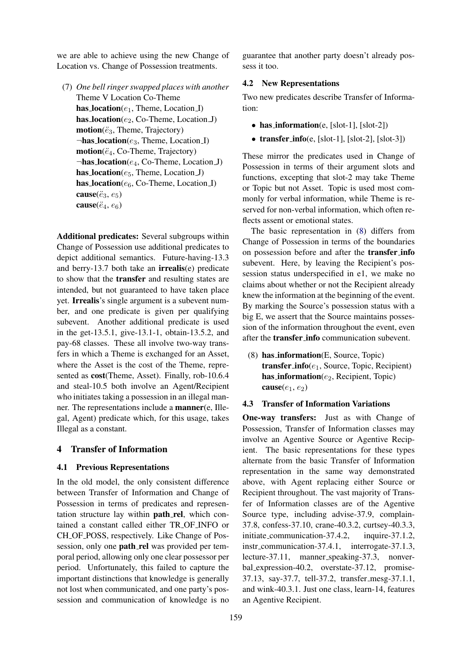we are able to achieve using the new Change of Location vs. Change of Possession treatments.

<span id="page-5-0"></span>(7) *One bell ringer swapped places with another* Theme V Location Co-Theme has  $location(e_1, Theme, Location_I)$ has  $location(e_2, Co-Thene, LocationJ)$  $motion(\ddot{e}_3,$  Theme, Trajectory)  $\neg$ **has location**( $e_3$ , Theme, Location I)  $motion(\ddot{e}_4, Co-Thene, Trajectory)$  $\neg$ **has location**( $e_4$ , Co-Theme, Location J) has  $location(e_5, Theme, Location_J)$ has  $location(e_6, Co-Thene, Location.I)$ cause( $\ddot{e}_3, e_5$ ) cause( $\ddot{e}_4, e_6$ )

Additional predicates: Several subgroups within Change of Possession use additional predicates to depict additional semantics. Future-having-13.3 and berry-13.7 both take an **irrealis** $(e)$  predicate to show that the transfer and resulting states are intended, but not guaranteed to have taken place yet. Irrealis's single argument is a subevent number, and one predicate is given per qualifying subevent. Another additional predicate is used in the get-13.5.1, give-13.1-1, obtain-13.5.2, and pay-68 classes. These all involve two-way transfers in which a Theme is exchanged for an Asset, where the Asset is the cost of the Theme, represented as cost(Theme, Asset). Finally, rob-10.6.4 and steal-10.5 both involve an Agent/Recipient who initiates taking a possession in an illegal manner. The representations include a manner(e, Illegal, Agent) predicate which, for this usage, takes Illegal as a constant.

# 4 Transfer of Information

#### 4.1 Previous Representations

In the old model, the only consistent difference between Transfer of Information and Change of Possession in terms of predicates and representation structure lay within path\_rel, which contained a constant called either TR OF INFO or CH OF POSS, respectively. Like Change of Possession, only one **path** rel was provided per temporal period, allowing only one clear possessor per period. Unfortunately, this failed to capture the important distinctions that knowledge is generally not lost when communicated, and one party's possession and communication of knowledge is no

guarantee that another party doesn't already possess it too.

## 4.2 New Representations

Two new predicates describe Transfer of Information:

- has information(e, [slot-1], [slot-2])
- transfer\_info(e, [slot-1], [slot-2], [slot-3])

These mirror the predicates used in Change of Possession in terms of their argument slots and functions, excepting that slot-2 may take Theme or Topic but not Asset. Topic is used most commonly for verbal information, while Theme is reserved for non-verbal information, which often reflects assent or emotional states.

The basic representation in [\(8\)](#page-5-1) differs from Change of Possession in terms of the boundaries on possession before and after the transfer info subevent. Here, by leaving the Recipient's possession status underspecified in e1, we make no claims about whether or not the Recipient already knew the information at the beginning of the event. By marking the Source's possession status with a big E, we assert that the Source maintains possession of the information throughout the event, even after the transfer info communication subevent.

<span id="page-5-1"></span>(8) has information(E, Source, Topic) transfer info( $e_1$ , Source, Topic, Recipient) has information $(e_2, Recipient, Topic)$ cause( $e_1, e_2$ )

## 4.3 Transfer of Information Variations

One-way transfers: Just as with Change of Possession, Transfer of Information classes may involve an Agentive Source or Agentive Recipient. The basic representations for these types alternate from the basic Transfer of Information representation in the same way demonstrated above, with Agent replacing either Source or Recipient throughout. The vast majority of Transfer of Information classes are of the Agentive Source type, including advise-37.9, complain-37.8, confess-37.10, crane-40.3.2, curtsey-40.3.3, initiate\_communication-37.4.2, inquire-37.1.2, instr\_communication-37.4.1, interrogate-37.1.3, lecture-37.11, manner speaking-37.3, nonverbal expression-40.2, overstate-37.12, promise-37.13, say-37.7, tell-37.2, transfer mesg-37.1.1, and wink-40.3.1. Just one class, learn-14, features an Agentive Recipient.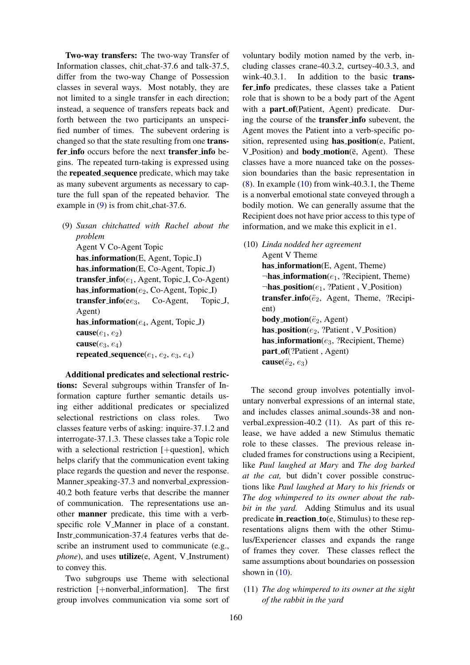Two-way transfers: The two-way Transfer of Information classes, chit chat-37.6 and talk-37.5, differ from the two-way Change of Possession classes in several ways. Most notably, they are not limited to a single transfer in each direction; instead, a sequence of transfers repeats back and forth between the two participants an unspecified number of times. The subevent ordering is changed so that the state resulting from one transfer info occurs before the next transfer info begins. The repeated turn-taking is expressed using the repeated sequence predicate, which may take as many subevent arguments as necessary to capture the full span of the repeated behavior. The example in [\(9\)](#page-6-0) is from chit\_chat-37.6.

<span id="page-6-0"></span>(9) *Susan chitchatted with Rachel about the problem* Agent V Co-Agent Topic has information(E, Agent, Topic I) has information(E, Co-Agent, Topic J) transfer\_info( $e_1$ , Agent, Topic I, Co-Agent) has information( $e_2$ , Co-Agent, Topic I) transfer info(e $e_3$ , Co-Agent, Topic J, Agent) has information( $e_4$ , Agent, Topic J) cause $(e_1, e_2)$ cause $(e_3, e_4)$ repeated sequence $(e_1, e_2, e_3, e_4)$ 

Additional predicates and selectional restrictions: Several subgroups within Transfer of Information capture further semantic details using either additional predicates or specialized selectional restrictions on class roles. Two classes feature verbs of asking: inquire-37.1.2 and interrogate-37.1.3. These classes take a Topic role with a selectional restriction [+question], which helps clarify that the communication event taking place regards the question and never the response. Manner\_speaking-37.3 and nonverbal\_expression-40.2 both feature verbs that describe the manner of communication. The representations use another manner predicate, this time with a verbspecific role V\_Manner in place of a constant. Instr communication-37.4 features verbs that describe an instrument used to communicate (e.g., *phone*), and uses **utilize**(e, Agent, V\_Instrument) to convey this.

Two subgroups use Theme with selectional restriction [+nonverbal information]. The first group involves communication via some sort of

voluntary bodily motion named by the verb, including classes crane-40.3.2, curtsey-40.3.3, and wink-40.3.1. In addition to the basic transfer info predicates, these classes take a Patient role that is shown to be a body part of the Agent with a **part**-of(Patient, Agent) predicate. During the course of the transfer info subevent, the Agent moves the Patient into a verb-specific position, represented using has position(e, Patient, V\_Position) and **body\_motion**( $\ddot{e}$ , Agent). These classes have a more nuanced take on the possession boundaries than the basic representation in [\(8\)](#page-5-1). In example [\(10\)](#page-6-1) from wink-40.3.1, the Theme is a nonverbal emotional state conveyed through a bodily motion. We can generally assume that the Recipient does not have prior access to this type of information, and we make this explicit in e1.

<span id="page-6-1"></span>(10) *Linda nodded her agreement*

Agent V Theme has information(E, Agent, Theme)  $\neg$ **has information**( $e_1$ , ?Recipient, Theme)  $\neg$ **has\_position**( $e_1$ , ?Patient, V\_Position) transfer info( $\ddot{e}_2$ , Agent, Theme, ?Recipient) **body\_motion**( $\ddot{e}_2$ , Agent) has position( $e_2$ , ?Patient, V Position) has information $(e_3, ?$ Recipient, Theme) part\_of(?Patient, Agent) cause( $\ddot{e}_2, e_3$ )

The second group involves potentially involuntary nonverbal expressions of an internal state, and includes classes animal sounds-38 and nonverbal expression-40.2 [\(11\)](#page-6-2). As part of this release, we have added a new Stimulus thematic role to these classes. The previous release included frames for constructions using a Recipient, like *Paul laughed at Mary* and *The dog barked at the cat,* but didn't cover possible constructions like *Paul laughed at Mary to his friends* or *The dog whimpered to its owner about the rabbit in the yard.* Adding Stimulus and its usual predicate in reaction  $\text{to}(e, \text{Stimulus})$  to these representations aligns them with the other Stimulus/Experiencer classes and expands the range of frames they cover. These classes reflect the same assumptions about boundaries on possession shown in  $(10)$ .

<span id="page-6-2"></span>(11) *The dog whimpered to its owner at the sight of the rabbit in the yard*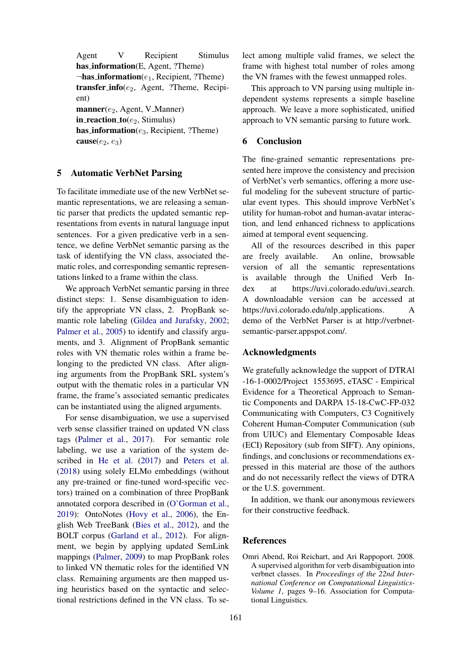Agent V Recipient Stimulus has information(E, Agent, ?Theme)  $\neg$ **has\_information**( $e_1$ , Recipient, ?Theme) transfer info( $e_2$ , Agent, ?Theme, Recipient)  $$ in\_reaction\_to( $e_2$ , Stimulus) has information $(e_3, Recipient, ?$ Theme) cause $(e_2, e_3)$ 

# 5 Automatic VerbNet Parsing

To facilitate immediate use of the new VerbNet semantic representations, we are releasing a semantic parser that predicts the updated semantic representations from events in natural language input sentences. For a given predicative verb in a sentence, we define VerbNet semantic parsing as the task of identifying the VN class, associated thematic roles, and corresponding semantic representations linked to a frame within the class.

We approach VerbNet semantic parsing in three distinct steps: 1. Sense disambiguation to identify the appropriate VN class, 2. PropBank semantic role labeling [\(Gildea and Jurafsky,](#page-8-16) [2002;](#page-8-16) [Palmer et al.,](#page-8-17) [2005\)](#page-8-17) to identify and classify arguments, and 3. Alignment of PropBank semantic roles with VN thematic roles within a frame belonging to the predicted VN class. After aligning arguments from the PropBank SRL system's output with the thematic roles in a particular VN frame, the frame's associated semantic predicates can be instantiated using the aligned arguments.

For sense disambiguation, we use a supervised verb sense classifier trained on updated VN class tags [\(Palmer et al.,](#page-9-8) [2017\)](#page-9-8). For semantic role labeling, we use a variation of the system described in [He et al.](#page-8-18) [\(2017\)](#page-8-18) and [Peters et al.](#page-9-9) [\(2018\)](#page-9-9) using solely ELMo embeddings (without any pre-trained or fine-tuned word-specific vectors) trained on a combination of three PropBank annotated corpora described in [\(O'Gorman et al.,](#page-8-19) [2019\)](#page-8-19): OntoNotes [\(Hovy et al.,](#page-8-20) [2006\)](#page-8-20), the English Web TreeBank [\(Bies et al.,](#page-8-21) [2012\)](#page-8-21), and the BOLT corpus [\(Garland et al.,](#page-8-22) [2012\)](#page-8-22). For alignment, we begin by applying updated SemLink mappings [\(Palmer,](#page-8-23) [2009\)](#page-8-23) to map PropBank roles to linked VN thematic roles for the identified VN class. Remaining arguments are then mapped using heuristics based on the syntactic and selectional restrictions defined in the VN class. To select among multiple valid frames, we select the frame with highest total number of roles among the VN frames with the fewest unmapped roles.

This approach to VN parsing using multiple independent systems represents a simple baseline approach. We leave a more sophisticated, unified approach to VN semantic parsing to future work.

## 6 Conclusion

The fine-grained semantic representations presented here improve the consistency and precision of VerbNet's verb semantics, offering a more useful modeling for the subevent structure of particular event types. This should improve VerbNet's utility for human-robot and human-avatar interaction, and lend enhanced richness to applications aimed at temporal event sequencing.

All of the resources described in this paper are freely available. An online, browsable version of all the semantic representations is available through the Unified Verb Index at https://uvi.colorado.edu/uvi\_search. A downloadable version can be accessed at https://uvi.colorado.edu/nlp\_applications. A demo of the VerbNet Parser is at http://verbnetsemantic-parser.appspot.com/.

#### Acknowledgments

We gratefully acknowledge the support of DTRAl -16-1-0002/Project 1553695, eTASC - Empirical Evidence for a Theoretical Approach to Semantic Components and DARPA 15-18-CwC-FP-032 Communicating with Computers, C3 Cognitively Coherent Human-Computer Communication (sub from UIUC) and Elementary Composable Ideas (ECI) Repository (sub from SIFT). Any opinions, findings, and conclusions or recommendations expressed in this material are those of the authors and do not necessarily reflect the views of DTRA or the U.S. government.

In addition, we thank our anonymous reviewers for their constructive feedback.

# **References**

<span id="page-7-0"></span>Omri Abend, Roi Reichart, and Ari Rappoport. 2008. A supervised algorithm for verb disambiguation into verbnet classes. In *Proceedings of the 22nd International Conference on Computational Linguistics-Volume 1*, pages 9–16. Association for Computational Linguistics.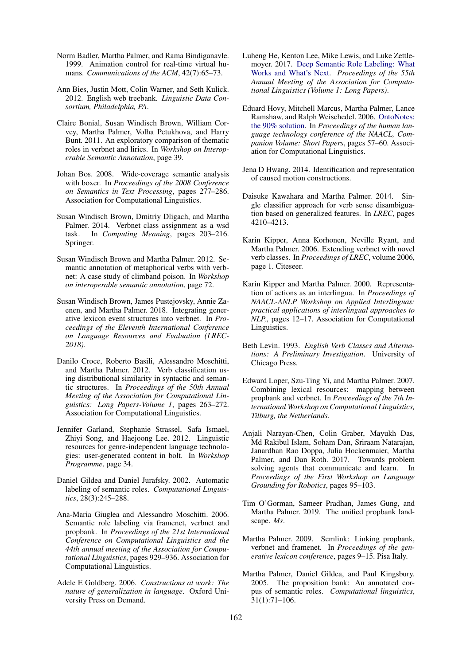- <span id="page-8-3"></span>Norm Badler, Martha Palmer, and Rama Bindiganavle. 1999. Animation control for real-time virtual humans. *Communications of the ACM*, 42(7):65–73.
- <span id="page-8-21"></span>Ann Bies, Justin Mott, Colin Warner, and Seth Kulick. 2012. English web treebank. *Linguistic Data Consortium, Philadelphia, PA*.
- <span id="page-8-1"></span>Claire Bonial, Susan Windisch Brown, William Corvey, Martha Palmer, Volha Petukhova, and Harry Bunt. 2011. An exploratory comparison of thematic roles in verbnet and lirics. In *Workshop on Interoperable Semantic Annotation*, page 39.
- <span id="page-8-7"></span>Johan Bos. 2008. Wide-coverage semantic analysis with boxer. In *Proceedings of the 2008 Conference on Semantics in Text Processing*, pages 277–286. Association for Computational Linguistics.
- <span id="page-8-8"></span>Susan Windisch Brown, Dmitriy Dligach, and Martha Palmer. 2014. Verbnet class assignment as a wsd task. In *Computing Meaning*, pages 203–216. Springer.
- <span id="page-8-15"></span>Susan Windisch Brown and Martha Palmer. 2012. Semantic annotation of metaphorical verbs with verbnet: A case study of climband poison. In *Workshop on interoperable semantic annotation*, page 72.
- <span id="page-8-14"></span>Susan Windisch Brown, James Pustejovsky, Annie Zaenen, and Martha Palmer. 2018. Integrating generative lexicon event structures into verbnet. In *Proceedings of the Eleventh International Conference on Language Resources and Evaluation (LREC-2018)*.
- <span id="page-8-9"></span>Danilo Croce, Roberto Basili, Alessandro Moschitti, and Martha Palmer. 2012. Verb classification using distributional similarity in syntactic and semantic structures. In *Proceedings of the 50th Annual Meeting of the Association for Computational Linguistics: Long Papers-Volume 1*, pages 263–272. Association for Computational Linguistics.
- <span id="page-8-22"></span>Jennifer Garland, Stephanie Strassel, Safa Ismael, Zhiyi Song, and Haejoong Lee. 2012. Linguistic resources for genre-independent language technologies: user-generated content in bolt. In *Workshop Programme*, page 34.
- <span id="page-8-16"></span>Daniel Gildea and Daniel Jurafsky. 2002. Automatic labeling of semantic roles. *Computational Linguistics*, 28(3):245–288.
- <span id="page-8-5"></span>Ana-Maria Giuglea and Alessandro Moschitti. 2006. Semantic role labeling via framenet, verbnet and propbank. In *Proceedings of the 21st International Conference on Computational Linguistics and the 44th annual meeting of the Association for Computational Linguistics*, pages 929–936. Association for Computational Linguistics.
- <span id="page-8-11"></span>Adele E Goldberg. 2006. *Constructions at work: The nature of generalization in language*. Oxford University Press on Demand.
- <span id="page-8-18"></span>Luheng He, Kenton Lee, Mike Lewis, and Luke Zettlemoyer. 2017. [Deep Semantic Role Labeling: What](https://doi.org/10.18653/v1/P17-1044) [Works and What's Next.](https://doi.org/10.18653/v1/P17-1044) *Proceedings of the 55th Annual Meeting of the Association for Computational Linguistics (Volume 1: Long Papers)*.
- <span id="page-8-20"></span>Eduard Hovy, Mitchell Marcus, Martha Palmer, Lance Ramshaw, and Ralph Weischedel. 2006. [OntoNotes:](http://dl.acm.org/citation.cfm?id=1614064) [the 90% solution.](http://dl.acm.org/citation.cfm?id=1614064) In *Proceedings of the human language technology conference of the NAACL, Companion Volume: Short Papers*, pages 57–60. Association for Computational Linguistics.
- <span id="page-8-12"></span>Jena D Hwang. 2014. Identification and representation of caused motion constructions.
- <span id="page-8-10"></span>Daisuke Kawahara and Martha Palmer. 2014. Single classifier approach for verb sense disambiguation based on generalized features. In *LREC*, pages 4210–4213.
- <span id="page-8-0"></span>Karin Kipper, Anna Korhonen, Neville Ryant, and Martha Palmer. 2006. Extending verbnet with novel verb classes. In *Proceedings of LREC*, volume 2006, page 1. Citeseer.
- <span id="page-8-4"></span>Karin Kipper and Martha Palmer. 2000. Representation of actions as an interlingua. In *Proceedings of NAACL-ANLP Workshop on Applied Interlinguas: practical applications of interlingual approaches to NLP,*, pages 12–17. Association for Computational Linguistics.
- <span id="page-8-2"></span>Beth Levin. 1993. *English Verb Classes and Alternations: A Preliminary Investigation*. University of Chicago Press.
- <span id="page-8-6"></span>Edward Loper, Szu-Ting Yi, and Martha Palmer. 2007. Combining lexical resources: mapping between propbank and verbnet. In *Proceedings of the 7th International Workshop on Computational Linguistics, Tilburg, the Netherlands*.
- <span id="page-8-13"></span>Anjali Narayan-Chen, Colin Graber, Mayukh Das, Md Rakibul Islam, Soham Dan, Sriraam Natarajan, Janardhan Rao Doppa, Julia Hockenmaier, Martha Palmer, and Dan Roth. 2017. Towards problem solving agents that communicate and learn. In *Proceedings of the First Workshop on Language Grounding for Robotics*, pages 95–103.
- <span id="page-8-19"></span>Tim O'Gorman, Sameer Pradhan, James Gung, and Martha Palmer. 2019. The unified propbank landscape. *Ms*.
- <span id="page-8-23"></span>Martha Palmer. 2009. Semlink: Linking propbank, verbnet and framenet. In *Proceedings of the generative lexicon conference*, pages 9–15. Pisa Italy.
- <span id="page-8-17"></span>Martha Palmer, Daniel Gildea, and Paul Kingsbury. 2005. The proposition bank: An annotated corpus of semantic roles. *Computational linguistics*, 31(1):71–106.